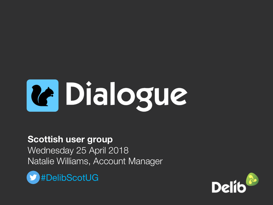

**Scottish user group** Wednesday 25 April 2018

Natalie Williams, Account Manager



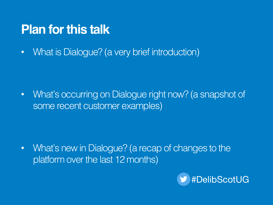#### **Plan for this talk**

• What is Dialogue? (a very brief introduction)

• What's occurring on Dialogue right now? (a snapshot of some recent customer examples)

• What's new in Dialogue? (a recap of changes to the platform over the last 12 months)

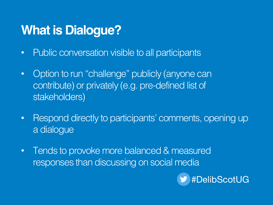# **What is Dialogue?**

- Public conversation visible to all participants
- Option to run "challenge" publicly (anyone can contribute) or privately (e.g. pre-defined list of stakeholders)
- Respond directly to participants' comments, opening up a dialogue
- Tends to provoke more balanced & measured responses than discussing on social media

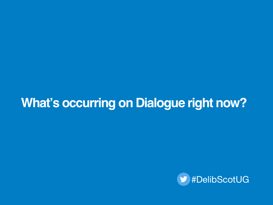### **What's occurring on Dialogue right now?**

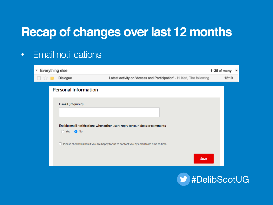• Email notifications

| ▼ Everything else | $1-25$ of many               | $\overline{\phantom{a}}$                                                                        |                                                                        |       |  |
|-------------------|------------------------------|-------------------------------------------------------------------------------------------------|------------------------------------------------------------------------|-------|--|
|                   | Dialogue                     |                                                                                                 | Latest activity on 'Access and Participation' - Hi Keri, The following | 12:19 |  |
|                   | <b>Personal Information</b>  |                                                                                                 |                                                                        |       |  |
|                   | E-mail (Required)            |                                                                                                 |                                                                        |       |  |
|                   | $\bigcap$ Yes<br><b>O</b> No | Enable email notifications when other users reply to your ideas or comments                     |                                                                        |       |  |
|                   |                              | $\Box$ Please check this box if you are happy for us to contact you by email from time to time. |                                                                        |       |  |
|                   |                              |                                                                                                 | Save                                                                   |       |  |
|                   |                              |                                                                                                 |                                                                        |       |  |

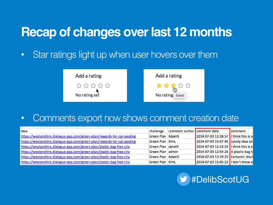• Star ratings light up when user hovers over them



• Comments export now shows comment creation date

| lidea                                                                   | challenge          | comment author comment date |                                         | <b>Comment</b> |
|-------------------------------------------------------------------------|--------------------|-----------------------------|-----------------------------------------|----------------|
| https://westonshire.dialogue-app.com/green-plan/rewards-for-car-pooling | Green Plan   AdamS |                             | 2014-07-03 13:18:57   I think this is a |                |
| https://westonshire.dialogue-app.com/green-plan/rewards-for-car-pooling | Green Plan   KimL  |                             | 2014-07-03 15:47:46 Lovely idea Jar     |                |
| https://westonshire.dialogue-app.com/green-plan/plastic-bag-free-city   | Green Plan JanetR  |                             | 2014-07-03 12:53:59   I think this is a |                |
| https://westonshire.dialogue-app.com/green-plan/plastic-bag-free-city   | Green Plan admin   |                             | 2014-07-03 12:54:26 A plastic bag b     |                |
| https://westonshire.dialogue-app.com/green-plan/plastic-bag-free-city   | Green Plan   AdamS |                             | 2014-07-03 13:19:20 Fantastic idea!     |                |
| https://westonshire.dialogue-app.com/green-plan/plastic-bag-free-city   | Green Plan   KimL  |                             | 2014-07-03 15:45:23   I don't know al   |                |

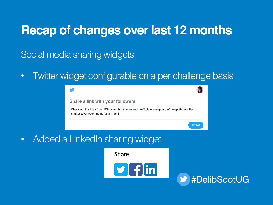Social media sharing widgets

• Twitter widget configurable on a per challenge basis



• Added a LinkedIn sharing widget

**Share** 



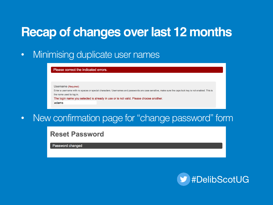• Minimising duplicate user names

#### Please correct the indicated errors.

#### Username (Required)

Enter a username with no spaces or special characters. Usernames and passwords are case sensitive, make sure the caps lock key is not enabled. This is the name used to log in.

The login name you selected is already in use or is not valid. Please choose another.

ladams

• New confirmation page for "change password" form

#### **Reset Password**

Password changed